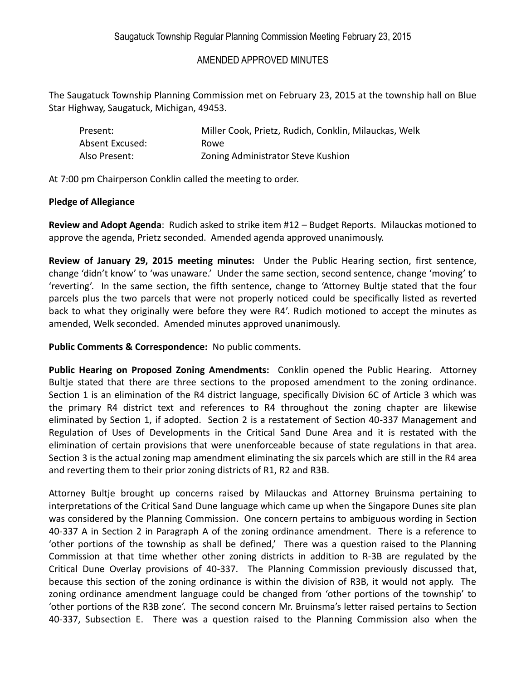The Saugatuck Township Planning Commission met on February 23, 2015 at the township hall on Blue Star Highway, Saugatuck, Michigan, 49453.

| Present:        | Miller Cook, Prietz, Rudich, Conklin, Milauckas, Welk |
|-----------------|-------------------------------------------------------|
| Absent Excused: | Rowe.                                                 |
| Also Present:   | Zoning Administrator Steve Kushion                    |

At 7:00 pm Chairperson Conklin called the meeting to order.

#### **Pledge of Allegiance**

**Review and Adopt Agenda**: Rudich asked to strike item #12 – Budget Reports. Milauckas motioned to approve the agenda, Prietz seconded. Amended agenda approved unanimously.

**Review of January 29, 2015 meeting minutes:** Under the Public Hearing section, first sentence, change 'didn't know' to 'was unaware.'Under the same section, second sentence, change 'moving' to 'reverting'.In the same section, the fifth sentence, change to 'Attorney Bultje stated that the four parcels plus the two parcels that were not properly noticed could be specifically listed as reverted back to what they originally were before they were R4'. Rudich motioned to accept the minutes as amended, Welk seconded. Amended minutes approved unanimously.

**Public Comments & Correspondence:** No public comments.

**Public Hearing on Proposed Zoning Amendments:** Conklin opened the Public Hearing. Attorney Bultje stated that there are three sections to the proposed amendment to the zoning ordinance. Section 1 is an elimination of the R4 district language, specifically Division 6C of Article 3 which was the primary R4 district text and references to R4 throughout the zoning chapter are likewise eliminated by Section 1, if adopted. Section 2 is a restatement of Section 40-337 Management and Regulation of Uses of Developments in the Critical Sand Dune Area and it is restated with the elimination of certain provisions that were unenforceable because of state regulations in that area. Section 3 is the actual zoning map amendment eliminating the six parcels which are still in the R4 area and reverting them to their prior zoning districts of R1, R2 and R3B.

Attorney Bultje brought up concerns raised by Milauckas and Attorney Bruinsma pertaining to interpretations of the Critical Sand Dune language which came up when the Singapore Dunes site plan was considered by the Planning Commission. One concern pertains to ambiguous wording in Section 40-337 A in Section 2 in Paragraph A of the zoning ordinance amendment. There is a reference to 'other portions of the township as shall be defined,' There was a question raised to the Planning Commission at that time whether other zoning districts in addition to R-3B are regulated by the Critical Dune Overlay provisions of 40-337. The Planning Commission previously discussed that, because this section of the zoning ordinance is within the division of R3B, it would not apply. The zoning ordinance amendment language could be changed from 'other portions of the township' to 'other portions of the R3B zone'. The second concern Mr. Bruinsma's letter raised pertains to Section 40-337, Subsection E. There was a question raised to the Planning Commission also when the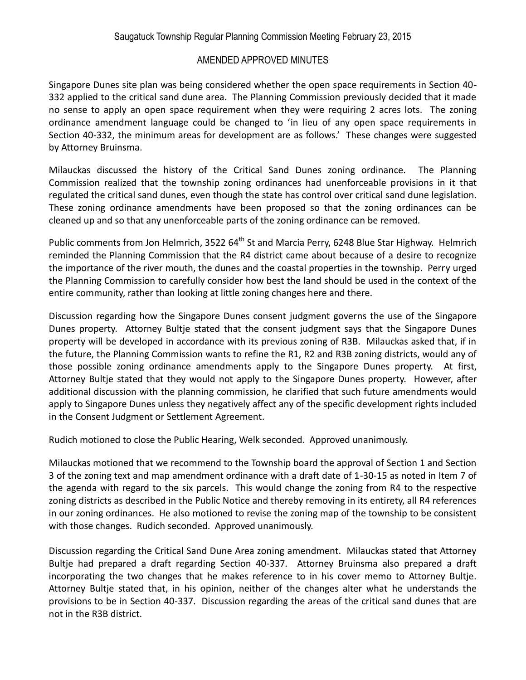Singapore Dunes site plan was being considered whether the open space requirements in Section 40- 332 applied to the critical sand dune area. The Planning Commission previously decided that it made no sense to apply an open space requirement when they were requiring 2 acres lots. The zoning ordinance amendment language could be changed to 'in lieu of any open space requirements in Section 40-332, the minimum areas for development are as follows.' These changes were suggested by Attorney Bruinsma.

Milauckas discussed the history of the Critical Sand Dunes zoning ordinance. The Planning Commission realized that the township zoning ordinances had unenforceable provisions in it that regulated the critical sand dunes, even though the state has control over critical sand dune legislation. These zoning ordinance amendments have been proposed so that the zoning ordinances can be cleaned up and so that any unenforceable parts of the zoning ordinance can be removed.

Public comments from Jon Helmrich, 3522 64<sup>th</sup> St and Marcia Perry, 6248 Blue Star Highway. Helmrich reminded the Planning Commission that the R4 district came about because of a desire to recognize the importance of the river mouth, the dunes and the coastal properties in the township. Perry urged the Planning Commission to carefully consider how best the land should be used in the context of the entire community, rather than looking at little zoning changes here and there.

Discussion regarding how the Singapore Dunes consent judgment governs the use of the Singapore Dunes property. Attorney Bultje stated that the consent judgment says that the Singapore Dunes property will be developed in accordance with its previous zoning of R3B. Milauckas asked that, if in the future, the Planning Commission wants to refine the R1, R2 and R3B zoning districts, would any of those possible zoning ordinance amendments apply to the Singapore Dunes property. At first, Attorney Bultje stated that they would not apply to the Singapore Dunes property. However, after additional discussion with the planning commission, he clarified that such future amendments would apply to Singapore Dunes unless they negatively affect any of the specific development rights included in the Consent Judgment or Settlement Agreement.

Rudich motioned to close the Public Hearing, Welk seconded. Approved unanimously.

Milauckas motioned that we recommend to the Township board the approval of Section 1 and Section 3 of the zoning text and map amendment ordinance with a draft date of 1-30-15 as noted in Item 7 of the agenda with regard to the six parcels. This would change the zoning from R4 to the respective zoning districts as described in the Public Notice and thereby removing in its entirety, all R4 references in our zoning ordinances. He also motioned to revise the zoning map of the township to be consistent with those changes. Rudich seconded. Approved unanimously.

Discussion regarding the Critical Sand Dune Area zoning amendment. Milauckas stated that Attorney Bultje had prepared a draft regarding Section 40-337. Attorney Bruinsma also prepared a draft incorporating the two changes that he makes reference to in his cover memo to Attorney Bultje. Attorney Bultje stated that, in his opinion, neither of the changes alter what he understands the provisions to be in Section 40-337. Discussion regarding the areas of the critical sand dunes that are not in the R3B district.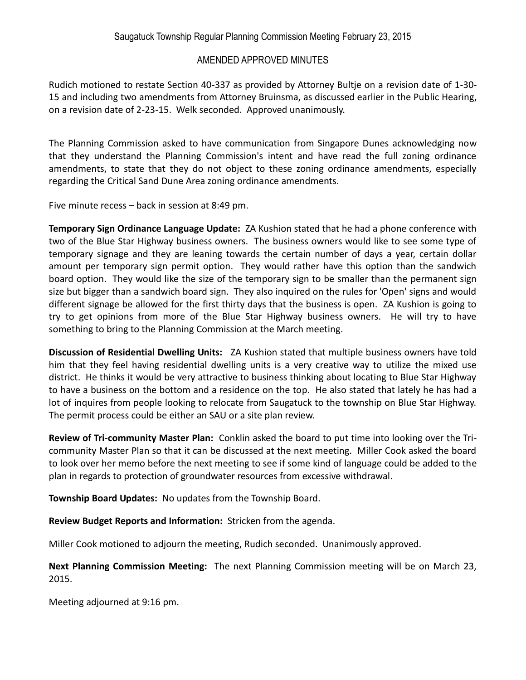Rudich motioned to restate Section 40-337 as provided by Attorney Bultje on a revision date of 1-30- 15 and including two amendments from Attorney Bruinsma, as discussed earlier in the Public Hearing, on a revision date of 2-23-15. Welk seconded. Approved unanimously.

The Planning Commission asked to have communication from Singapore Dunes acknowledging now that they understand the Planning Commission's intent and have read the full zoning ordinance amendments, to state that they do not object to these zoning ordinance amendments, especially regarding the Critical Sand Dune Area zoning ordinance amendments.

Five minute recess – back in session at 8:49 pm.

**Temporary Sign Ordinance Language Update:** ZA Kushion stated that he had a phone conference with two of the Blue Star Highway business owners. The business owners would like to see some type of temporary signage and they are leaning towards the certain number of days a year, certain dollar amount per temporary sign permit option. They would rather have this option than the sandwich board option. They would like the size of the temporary sign to be smaller than the permanent sign size but bigger than a sandwich board sign. They also inquired on the rules for 'Open' signs and would different signage be allowed for the first thirty days that the business is open. ZA Kushion is going to try to get opinions from more of the Blue Star Highway business owners. He will try to have something to bring to the Planning Commission at the March meeting.

**Discussion of Residential Dwelling Units:** ZA Kushion stated that multiple business owners have told him that they feel having residential dwelling units is a very creative way to utilize the mixed use district. He thinks it would be very attractive to business thinking about locating to Blue Star Highway to have a business on the bottom and a residence on the top. He also stated that lately he has had a lot of inquires from people looking to relocate from Saugatuck to the township on Blue Star Highway. The permit process could be either an SAU or a site plan review.

**Review of Tri-community Master Plan:** Conklin asked the board to put time into looking over the Tricommunity Master Plan so that it can be discussed at the next meeting. Miller Cook asked the board to look over her memo before the next meeting to see if some kind of language could be added to the plan in regards to protection of groundwater resources from excessive withdrawal.

**Township Board Updates:** No updates from the Township Board.

**Review Budget Reports and Information:** Stricken from the agenda.

Miller Cook motioned to adjourn the meeting, Rudich seconded. Unanimously approved.

**Next Planning Commission Meeting:** The next Planning Commission meeting will be on March 23, 2015.

Meeting adjourned at 9:16 pm.